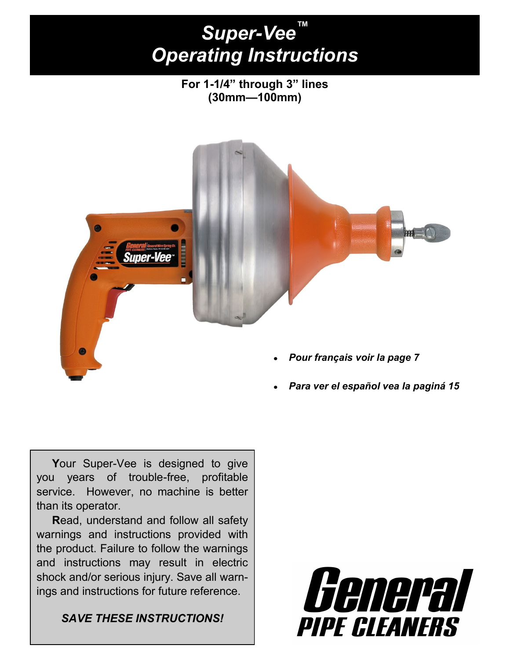# *Super-Vee™ Operating Instructions*

**For 1-1/4‖ through 3‖ lines (30mm—100mm)**



*Para ver el español vea la paginá 15*

Your Super-Vee is designed to give you years of trouble-free, profitable service. However, no machine is better than its operator.

 **R**ead, understand and follow all safety warnings and instructions provided with the product. Failure to follow the warnings and instructions may result in electric shock and/or serious injury. Save all warnings and instructions for future reference.

*SAVE THESE INSTRUCTIONS!*

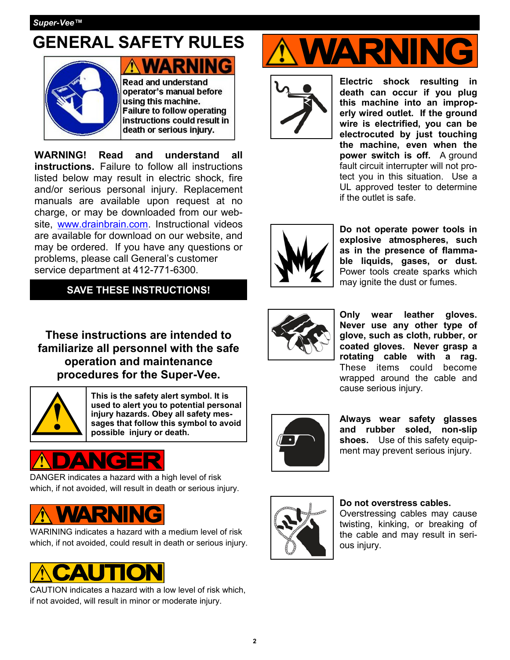## **GENERAL SAFETY RULES**



**Read and understand** operator's manual before using this machine. **Failure to follow operating** instructions could result in death or serious injury.

**WARNING! Read and understand all instructions.** Failure to follow all instructions listed below may result in electric shock, fire and/or serious personal injury. Replacement manuals are available upon request at no charge, or may be downloaded from our website, [www.drainbrain.com.](http://www.drainbrain.com) Instructional videos are available for download on our website, and may be ordered. If you have any questions or problems, please call General's customer service department at 412-771-6300.

**SAVE THESE INSTRUCTIONS!**

**These instructions are intended to familiarize all personnel with the safe operation and maintenance procedures for the Super-Vee.** 



**This is the safety alert symbol. It is used to alert you to potential personal injury hazards. Obey all safety messages that follow this symbol to avoid possible injury or death.**

DANGER indicates a hazard with a high level of risk which, if not avoided, will result in death or serious injury.



WARINING indicates a hazard with a medium level of risk which, if not avoided, could result in death or serious injury.



CAUTION indicates a hazard with a low level of risk which, if not avoided, will result in minor or moderate injury.





**Electric shock resulting in death can occur if you plug this machine into an improperly wired outlet. If the ground wire is electrified, you can be electrocuted by just touching the machine, even when the power switch is off.** A ground fault circuit interrupter will not protect you in this situation. Use a UL approved tester to determine if the outlet is safe.



**Do not operate power tools in explosive atmospheres, such as in the presence of flammable liquids, gases, or dust.** Power tools create sparks which may ignite the dust or fumes.



**Only wear leather gloves. Never use any other type of glove, such as cloth, rubber, or coated gloves. Never grasp a rotating cable with a rag.**  These items could become wrapped around the cable and cause serious injury.



**Always wear safety glasses and rubber soled, non-slip shoes.** Use of this safety equipment may prevent serious injury.



#### **Do not overstress cables.**

Overstressing cables may cause twisting, kinking, or breaking of the cable and may result in serious injury.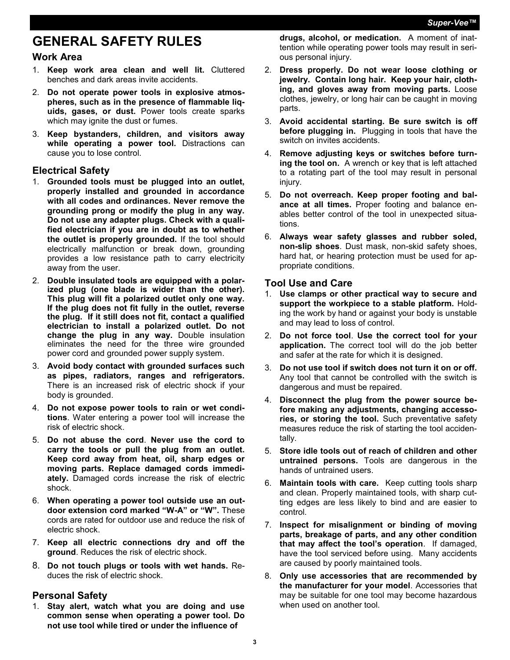## **GENERAL SAFETY RULES**

#### **Work Area**

- 1. **Keep work area clean and well lit.** Cluttered benches and dark areas invite accidents.
- 2. **Do not operate power tools in explosive atmospheres, such as in the presence of flammable liquids, gases, or dust.** Power tools create sparks which may ignite the dust or fumes.
- 3. **Keep bystanders, children, and visitors away**  while operating a power tool. Distractions can cause you to lose control.

#### **Electrical Safety**

- 1. **Grounded tools must be plugged into an outlet, properly installed and grounded in accordance with all codes and ordinances. Never remove the grounding prong or modify the plug in any way. Do not use any adapter plugs. Check with a qualified electrician if you are in doubt as to whether the outlet is properly grounded.** If the tool should electrically malfunction or break down, grounding provides a low resistance path to carry electricity away from the user.
- 2. **Double insulated tools are equipped with a polarized plug (one blade is wider than the other). This plug will fit a polarized outlet only one way. If the plug does not fit fully in the outlet, reverse the plug. If it still does not fit, contact a qualified electrician to install a polarized outlet. Do not change the plug in any way.** Double insulation eliminates the need for the three wire grounded power cord and grounded power supply system.
- 3. **Avoid body contact with grounded surfaces such as pipes, radiators, ranges and refrigerators.**  There is an increased risk of electric shock if your body is grounded.
- 4. **Do not expose power tools to rain or wet conditions**. Water entering a power tool will increase the risk of electric shock.
- 5. **Do not abuse the cord**. **Never use the cord to carry the tools or pull the plug from an outlet. Keep cord away from heat, oil, sharp edges or moving parts. Replace damaged cords immediately.** Damaged cords increase the risk of electric shock.
- 6. **When operating a power tool outside use an outdoor extension cord marked "W-A" or "W".** These cords are rated for outdoor use and reduce the risk of electric shock.
- 7. **Keep all electric connections dry and off the ground**. Reduces the risk of electric shock.
- 8. **Do not touch plugs or tools with wet hands.** Reduces the risk of electric shock.

#### **Personal Safety**

1. **Stay alert, watch what you are doing and use common sense when operating a power tool. Do not use tool while tired or under the influence of** 

**drugs, alcohol, or medication.** A moment of inattention while operating power tools may result in serious personal injury.

- 2. **Dress properly. Do not wear loose clothing or jewelry. Contain long hair. Keep your hair, clothing, and gloves away from moving parts.** Loose clothes, jewelry, or long hair can be caught in moving parts.
- 3. **Avoid accidental starting. Be sure switch is off before plugging in.** Plugging in tools that have the switch on invites accidents.
- 4. **Remove adjusting keys or switches before turning the tool on.** A wrench or key that is left attached to a rotating part of the tool may result in personal injury.
- 5. **Do not overreach. Keep proper footing and balance at all times.** Proper footing and balance enables better control of the tool in unexpected situations.
- 6. **Always wear safety glasses and rubber soled, non-slip shoes**. Dust mask, non-skid safety shoes, hard hat, or hearing protection must be used for appropriate conditions.

#### **Tool Use and Care**

- 1. **Use clamps or other practical way to secure and support the workpiece to a stable platform.** Holding the work by hand or against your body is unstable and may lead to loss of control.
- 2. **Do not force tool**. **Use the correct tool for your application.** The correct tool will do the job better and safer at the rate for which it is designed.
- 3. **Do not use tool if switch does not turn it on or off.** Any tool that cannot be controlled with the switch is dangerous and must be repaired.
- 4. **Disconnect the plug from the power source before making any adjustments, changing accessories, or storing the tool.** Such preventative safety measures reduce the risk of starting the tool accidentally.
- 5. **Store idle tools out of reach of children and other untrained persons.** Tools are dangerous in the hands of untrained users.
- 6. **Maintain tools with care.** Keep cutting tools sharp and clean. Properly maintained tools, with sharp cutting edges are less likely to bind and are easier to control.
- 7. **Inspect for misalignment or binding of moving parts, breakage of parts, and any other condition that may affect the tool's operation**. If damaged, have the tool serviced before using.Many accidents are caused by poorly maintained tools.
- 8. **Only use accessories that are recommended by the manufacturer for your model**. Accessories that may be suitable for one tool may become hazardous when used on another tool.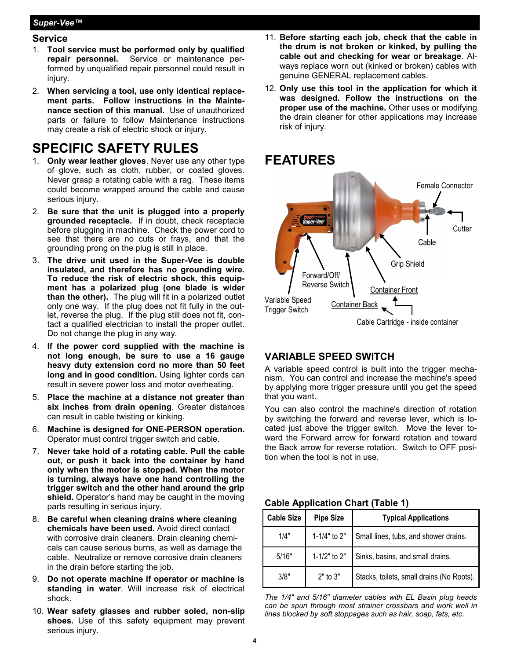#### *Super-Vee™*

#### **Service**

- 1. **Tool service must be performed only by qualified repair personnel.** Service or maintenance performed by unqualified repair personnel could result in injury.
- 2. **When servicing a tool, use only identical replacement parts. Follow instructions in the Maintenance section of this manual.** Use of unauthorized parts or failure to follow Maintenance Instructions may create a risk of electric shock or injury.

### **SPECIFIC SAFETY RULES**

- 1. **Only wear leather gloves**. Never use any other type of glove, such as cloth, rubber, or coated gloves. Never grasp a rotating cable with a rag. These items could become wrapped around the cable and cause serious injury.
- 2. **Be sure that the unit is plugged into a properly grounded receptacle.** If in doubt, check receptacle before plugging in machine. Check the power cord to see that there are no cuts or frays, and that the grounding prong on the plug is still in place.
- 3. **The drive unit used in the Super-Vee is double insulated, and therefore has no grounding wire. To reduce the risk of electric shock, this equipment has a polarized plug (one blade is wider than the other).** The plug will fit in a polarized outlet only one way. If the plug does not fit fully in the outlet, reverse the plug. If the plug still does not fit, contact a qualified electrician to install the proper outlet. Do not change the plug in any way.
- 4. **If the power cord supplied with the machine is not long enough, be sure to use a 16 gauge heavy duty extension cord no more than 50 feet long and in good condition.** Using lighter cords can result in severe power loss and motor overheating.
- 5. **Place the machine at a distance not greater than six inches from drain opening**. Greater distances can result in cable twisting or kinking.
- 6. **Machine is designed for ONE-PERSON operation.** Operator must control trigger switch and cable.
- 7. **Never take hold of a rotating cable. Pull the cable out, or push it back into the container by hand only when the motor is stopped. When the motor is turning, always have one hand controlling the trigger switch and the other hand around the grip shield.** Operator's hand may be caught in the moving parts resulting in serious injury.
- 8. **Be careful when cleaning drains where cleaning chemicals have been used.** Avoid direct contact with corrosive drain cleaners. Drain cleaning chemicals can cause serious burns, as well as damage the cable. Neutralize or remove corrosive drain cleaners in the drain before starting the job.
- 9. **Do not operate machine if operator or machine is standing in water**. Will increase risk of electrical shock.
- 10. **Wear safety glasses and rubber soled, non-slip shoes.** Use of this safety equipment may prevent serious injury.
- 11. **Before starting each job, check that the cable in the drum is not broken or kinked, by pulling the cable out and checking for wear or breakage**. Always replace worn out (kinked or broken) cables with genuine GENERAL replacement cables.
- 12. **Only use this tool in the application for which it was designed. Follow the instructions on the proper use of the machine.** Other uses or modifying the drain cleaner for other applications may increase risk of injury.



#### **VARIABLE SPEED SWITCH**

A variable speed control is built into the trigger mechanism. You can control and increase the machine's speed by applying more trigger pressure until you get the speed that you want.

You can also control the machine's direction of rotation by switching the forward and reverse lever, which is located just above the trigger switch. Move the lever toward the Forward arrow for forward rotation and toward the Back arrow for reverse rotation. Switch to OFF position when the tool is not in use.

#### **Cable Application Chart (Table 1)**

| <b>Cable Size</b> | <b>Pipe Size</b> | <b>Typical Applications</b>               |
|-------------------|------------------|-------------------------------------------|
| 1/4"              | 1-1/4" to 2"     | Small lines, tubs, and shower drains.     |
| 5/16"             | 1-1/2" to $2"$   | Sinks, basins, and small drains.          |
| 3/8"              | $2"$ to $3"$     | Stacks, toilets, small drains (No Roots). |

*The 1/4" and 5/16" diameter cables with EL Basin plug heads can be spun through most strainer crossbars and work well in lines blocked by soft stoppages such as hair, soap, fats, etc*.